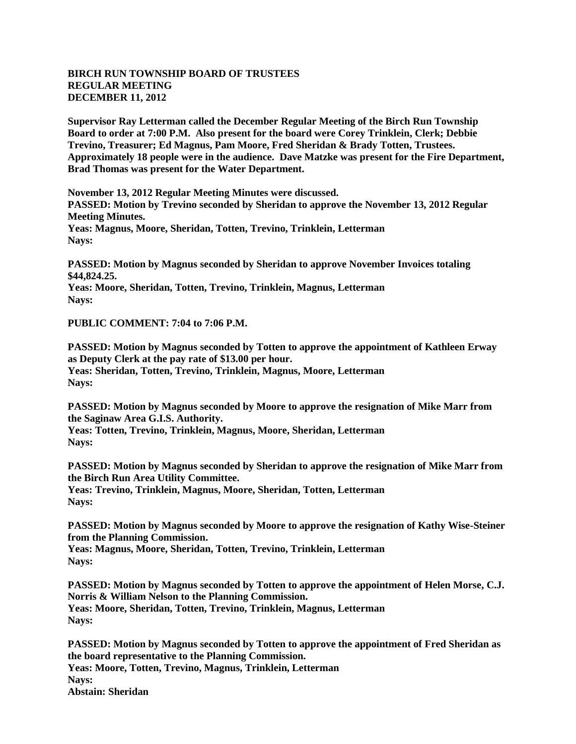## **BIRCH RUN TOWNSHIP BOARD OF TRUSTEES REGULAR MEETING DECEMBER 11, 2012**

**Supervisor Ray Letterman called the December Regular Meeting of the Birch Run Township Board to order at 7:00 P.M. Also present for the board were Corey Trinklein, Clerk; Debbie Trevino, Treasurer; Ed Magnus, Pam Moore, Fred Sheridan & Brady Totten, Trustees. Approximately 18 people were in the audience. Dave Matzke was present for the Fire Department, Brad Thomas was present for the Water Department.**

**November 13, 2012 Regular Meeting Minutes were discussed. PASSED: Motion by Trevino seconded by Sheridan to approve the November 13, 2012 Regular Meeting Minutes. Yeas: Magnus, Moore, Sheridan, Totten, Trevino, Trinklein, Letterman Nays:**

**PASSED: Motion by Magnus seconded by Sheridan to approve November Invoices totaling \$44,824.25.**

**Yeas: Moore, Sheridan, Totten, Trevino, Trinklein, Magnus, Letterman Nays:**

**PUBLIC COMMENT: 7:04 to 7:06 P.M.**

**PASSED: Motion by Magnus seconded by Totten to approve the appointment of Kathleen Erway as Deputy Clerk at the pay rate of \$13.00 per hour. Yeas: Sheridan, Totten, Trevino, Trinklein, Magnus, Moore, Letterman Nays:**

**PASSED: Motion by Magnus seconded by Moore to approve the resignation of Mike Marr from the Saginaw Area G.I.S. Authority.**

**Yeas: Totten, Trevino, Trinklein, Magnus, Moore, Sheridan, Letterman Nays:**

**PASSED: Motion by Magnus seconded by Sheridan to approve the resignation of Mike Marr from the Birch Run Area Utility Committee. Yeas: Trevino, Trinklein, Magnus, Moore, Sheridan, Totten, Letterman Nays:**

**PASSED: Motion by Magnus seconded by Moore to approve the resignation of Kathy Wise-Steiner from the Planning Commission.**

**Yeas: Magnus, Moore, Sheridan, Totten, Trevino, Trinklein, Letterman Nays:**

**PASSED: Motion by Magnus seconded by Totten to approve the appointment of Helen Morse, C.J. Norris & William Nelson to the Planning Commission. Yeas: Moore, Sheridan, Totten, Trevino, Trinklein, Magnus, Letterman Nays:**

**PASSED: Motion by Magnus seconded by Totten to approve the appointment of Fred Sheridan as the board representative to the Planning Commission. Yeas: Moore, Totten, Trevino, Magnus, Trinklein, Letterman Nays: Abstain: Sheridan**